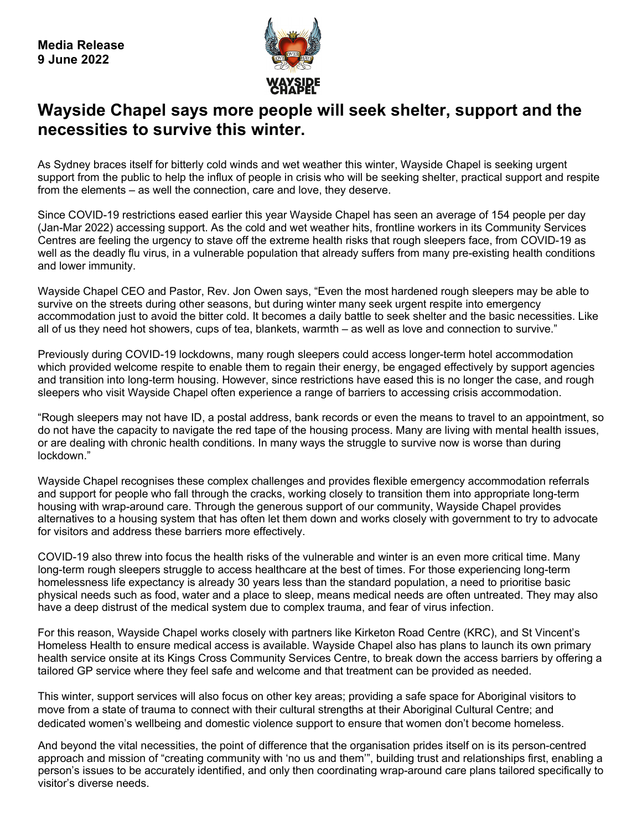

# **Wayside Chapel says more people will seek shelter, support and the necessities to survive this winter.**

As Sydney braces itself for bitterly cold winds and wet weather this winter, Wayside Chapel is seeking urgent support from the public to help the influx of people in crisis who will be seeking shelter, practical support and respite from the elements – as well the connection, care and love, they deserve.

Since COVID-19 restrictions eased earlier this year Wayside Chapel has seen an average of 154 people per day (Jan-Mar 2022) accessing support. As the cold and wet weather hits, frontline workers in its Community Services Centres are feeling the urgency to stave off the extreme health risks that rough sleepers face, from COVID-19 as well as the deadly flu virus, in a vulnerable population that already suffers from many pre-existing health conditions and lower immunity.

Wayside Chapel CEO and Pastor, Rev. Jon Owen says, "Even the most hardened rough sleepers may be able to survive on the streets during other seasons, but during winter many seek urgent respite into emergency accommodation just to avoid the bitter cold. It becomes a daily battle to seek shelter and the basic necessities. Like all of us they need hot showers, cups of tea, blankets, warmth – as well as love and connection to survive."

Previously during COVID-19 lockdowns, many rough sleepers could access longer-term hotel accommodation which provided welcome respite to enable them to regain their energy, be engaged effectively by support agencies and transition into long-term housing. However, since restrictions have eased this is no longer the case, and rough sleepers who visit Wayside Chapel often experience a range of barriers to accessing crisis accommodation.

"Rough sleepers may not have ID, a postal address, bank records or even the means to travel to an appointment, so do not have the capacity to navigate the red tape of the housing process. Many are living with mental health issues, or are dealing with chronic health conditions. In many ways the struggle to survive now is worse than during lockdown."

Wayside Chapel recognises these complex challenges and provides flexible emergency accommodation referrals and support for people who fall through the cracks, working closely to transition them into appropriate long-term housing with wrap-around care. Through the generous support of our community, Wayside Chapel provides alternatives to a housing system that has often let them down and works closely with government to try to advocate for visitors and address these barriers more effectively.

COVID-19 also threw into focus the health risks of the vulnerable and winter is an even more critical time. Many long-term rough sleepers struggle to access healthcare at the best of times. For those experiencing long-term homelessness life expectancy is already 30 years less than the standard population, a need to prioritise basic physical needs such as food, water and a place to sleep, means medical needs are often untreated. They may also have a deep distrust of the medical system due to complex trauma, and fear of virus infection.

For this reason, Wayside Chapel works closely with partners like Kirketon Road Centre (KRC), and St Vincent's Homeless Health to ensure medical access is available. Wayside Chapel also has plans to launch its own primary health service onsite at its Kings Cross Community Services Centre, to break down the access barriers by offering a tailored GP service where they feel safe and welcome and that treatment can be provided as needed.

This winter, support services will also focus on other key areas; providing a safe space for Aboriginal visitors to move from a state of trauma to connect with their cultural strengths at their Aboriginal Cultural Centre; and dedicated women's wellbeing and domestic violence support to ensure that women don't become homeless.

And beyond the vital necessities, the point of difference that the organisation prides itself on is its person-centred approach and mission of "creating community with 'no us and them'", building trust and relationships first, enabling a person's issues to be accurately identified, and only then coordinating wrap-around care plans tailored specifically to visitor's diverse needs.